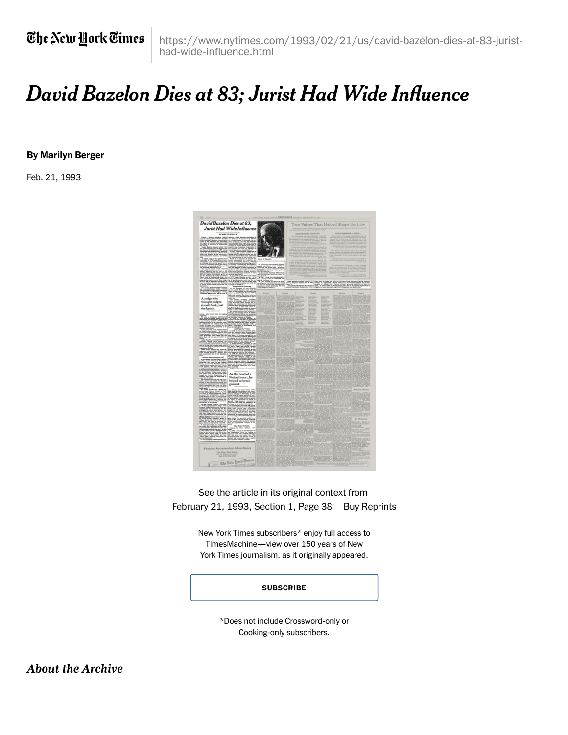The New York Times

## David Bazelon Dies at 83; Jurist Had Wide Influence

## By [Marilyn Berger](https://www.nytimes.com/by/marilyn-berger)

Feb. 21, 1993



See the article in its original context from February 21, 1993, Section 1, Page 38 [Buy Reprints](https://store.nytimes.com/collections/new-york-times-page-reprints?utm_source=nytimes&utm_medium=article-page&utm_campaign=reprints)

> New York Times subscribers\* enjoy full access to TimesMachine—view over 150 years of New York Times journalism, as it originally appeared.

## [SUBSCRIBE](https://www.nytimes.com/subscription/multiproduct/lp8HYKU.html?campaignId=4KKHF)

\*Does not include Crossword-only or Cooking-only subscribers.

About the Archive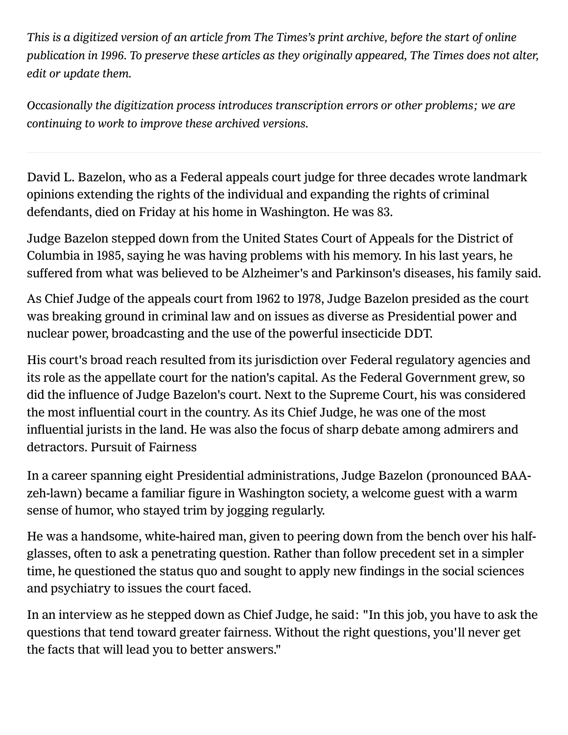This is a digitized version of an article from The Times's print archive, before the start of online publication in 1996. To preserve these articles as they originally appeared, The Times does not alter, edit or update them.

Occasionally the digitization process introduces transcription errors or other problems; we are continuing to work to improve these archived versions.

David L. Bazelon, who as a Federal appeals court judge for three decades wrote landmark opinions extending the rights of the individual and expanding the rights of criminal defendants, died on Friday at his home in Washington. He was 83.

Judge Bazelon stepped down from the United States Court of Appeals for the District of Columbia in 1985, saying he was having problems with his memory. In his last years, he suffered from what was believed to be Alzheimer's and Parkinson's diseases, his family said.

As Chief Judge of the appeals court from 1962 to 1978, Judge Bazelon presided as the court was breaking ground in criminal law and on issues as diverse as Presidential power and nuclear power, broadcasting and the use of the powerful insecticide DDT.

His court's broad reach resulted from its jurisdiction over Federal regulatory agencies and its role as the appellate court for the nation's capital. As the Federal Government grew, so did the influence of Judge Bazelon's court. Next to the Supreme Court, his was considered the most influential court in the country. As its Chief Judge, he was one of the most influential jurists in the land. He was also the focus of sharp debate among admirers and detractors. Pursuit of Fairness

In a career spanning eight Presidential administrations, Judge Bazelon (pronounced BAAzeh-lawn) became a familiar figure in Washington society, a welcome guest with a warm sense of humor, who stayed trim by jogging regularly.

He was a handsome, white-haired man, given to peering down from the bench over his halfglasses, often to ask a penetrating question. Rather than follow precedent set in a simpler time, he questioned the status quo and sought to apply new findings in the social sciences and psychiatry to issues the court faced.

In an interview as he stepped down as Chief Judge, he said: "In this job, you have to ask the questions that tend toward greater fairness. Without the right questions, you'll never get the facts that will lead you to better answers."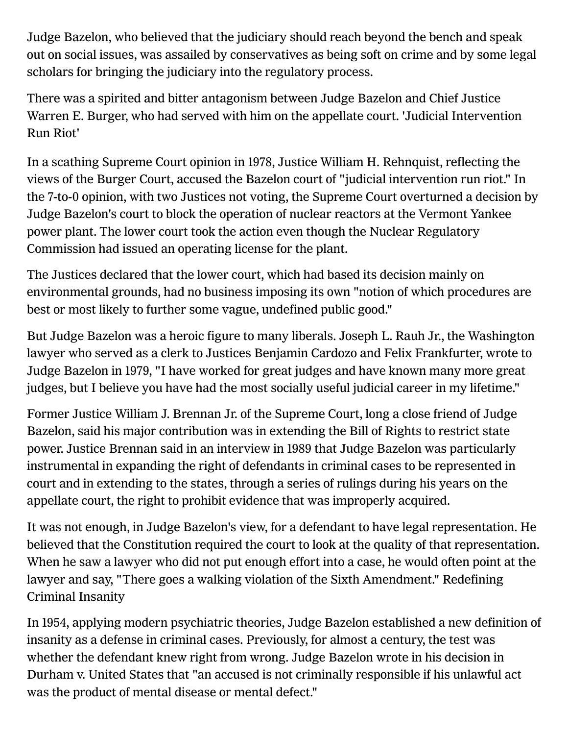Judge Bazelon, who believed that the judiciary should reach beyond the bench and speak out on social issues, was assailed by conservatives as being soft on crime and by some legal scholars for bringing the judiciary into the regulatory process.

There was a spirited and bitter antagonism between Judge Bazelon and Chief Justice Warren E. Burger, who had served with him on the appellate court. 'Judicial Intervention Run Riot'

In a scathing Supreme Court opinion in 1978, Justice William H. Rehnquist, reflecting the views of the Burger Court, accused the Bazelon court of "judicial intervention run riot." In the 7-to-0 opinion, with two Justices not voting, the Supreme Court overturned a decision by Judge Bazelon's court to block the operation of nuclear reactors at the Vermont Yankee power plant. The lower court took the action even though the Nuclear Regulatory Commission had issued an operating license for the plant.

The Justices declared that the lower court, which had based its decision mainly on environmental grounds, had no business imposing its own "notion of which procedures are best or most likely to further some vague, undefined public good."

But Judge Bazelon was a heroic figure to many liberals. Joseph L. Rauh Jr., the Washington lawyer who served as a clerk to Justices Benjamin Cardozo and Felix Frankfurter, wrote to Judge Bazelon in 1979, "I have worked for great judges and have known many more great judges, but I believe you have had the most socially useful judicial career in my lifetime."

Former Justice William J. Brennan Jr. of the Supreme Court, long a close friend of Judge Bazelon, said his major contribution was in extending the Bill of Rights to restrict state power. Justice Brennan said in an interview in 1989 that Judge Bazelon was particularly instrumental in expanding the right of defendants in criminal cases to be represented in court and in extending to the states, through a series of rulings during his years on the appellate court, the right to prohibit evidence that was improperly acquired.

It was not enough, in Judge Bazelon's view, for a defendant to have legal representation. He believed that the Constitution required the court to look at the quality of that representation. When he saw a lawyer who did not put enough effort into a case, he would often point at the lawyer and say, "There goes a walking violation of the Sixth Amendment." Redefining Criminal Insanity

In 1954, applying modern psychiatric theories, Judge Bazelon established a new definition of insanity as a defense in criminal cases. Previously, for almost a century, the test was whether the defendant knew right from wrong. Judge Bazelon wrote in his decision in Durham v. United States that "an accused is not criminally responsible if his unlawful act was the product of mental disease or mental defect."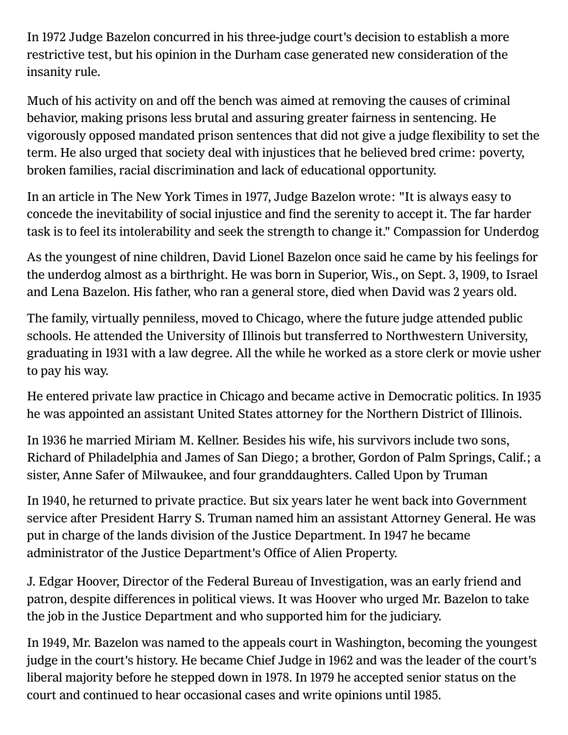In 1972 Judge Bazelon concurred in his three-judge court's decision to establish a more restrictive test, but his opinion in the Durham case generated new consideration of the insanity rule.

Much of his activity on and off the bench was aimed at removing the causes of criminal behavior, making prisons less brutal and assuring greater fairness in sentencing. He vigorously opposed mandated prison sentences that did not give a judge flexibility to set the term. He also urged that society deal with injustices that he believed bred crime: poverty, broken families, racial discrimination and lack of educational opportunity.

In an article in The New York Times in 1977, Judge Bazelon wrote: "It is always easy to concede the inevitability of social injustice and find the serenity to accept it. The far harder task is to feel its intolerability and seek the strength to change it." Compassion for Underdog

As the youngest of nine children, David Lionel Bazelon once said he came by his feelings for the underdog almost as a birthright. He was born in Superior, Wis., on Sept. 3, 1909, to Israel and Lena Bazelon. His father, who ran a general store, died when David was 2 years old.

The family, virtually penniless, moved to Chicago, where the future judge attended public schools. He attended the University of Illinois but transferred to Northwestern University, graduating in 1931 with a law degree. All the while he worked as a store clerk or movie usher to pay his way.

He entered private law practice in Chicago and became active in Democratic politics. In 1935 he was appointed an assistant United States attorney for the Northern District of Illinois.

In 1936 he married Miriam M. Kellner. Besides his wife, his survivors include two sons, Richard of Philadelphia and James of San Diego; a brother, Gordon of Palm Springs, Calif.; a sister, Anne Safer of Milwaukee, and four granddaughters. Called Upon by Truman

In 1940, he returned to private practice. But six years later he went back into Government service after President Harry S. Truman named him an assistant Attorney General. He was put in charge of the lands division of the Justice Department. In 1947 he became administrator of the Justice Department's Office of Alien Property.

J. Edgar Hoover, Director of the Federal Bureau of Investigation, was an early friend and patron, despite differences in political views. It was Hoover who urged Mr. Bazelon to take the job in the Justice Department and who supported him for the judiciary.

In 1949, Mr. Bazelon was named to the appeals court in Washington, becoming the youngest judge in the court's history. He became Chief Judge in 1962 and was the leader of the court's liberal majority before he stepped down in 1978. In 1979 he accepted senior status on the court and continued to hear occasional cases and write opinions until 1985.